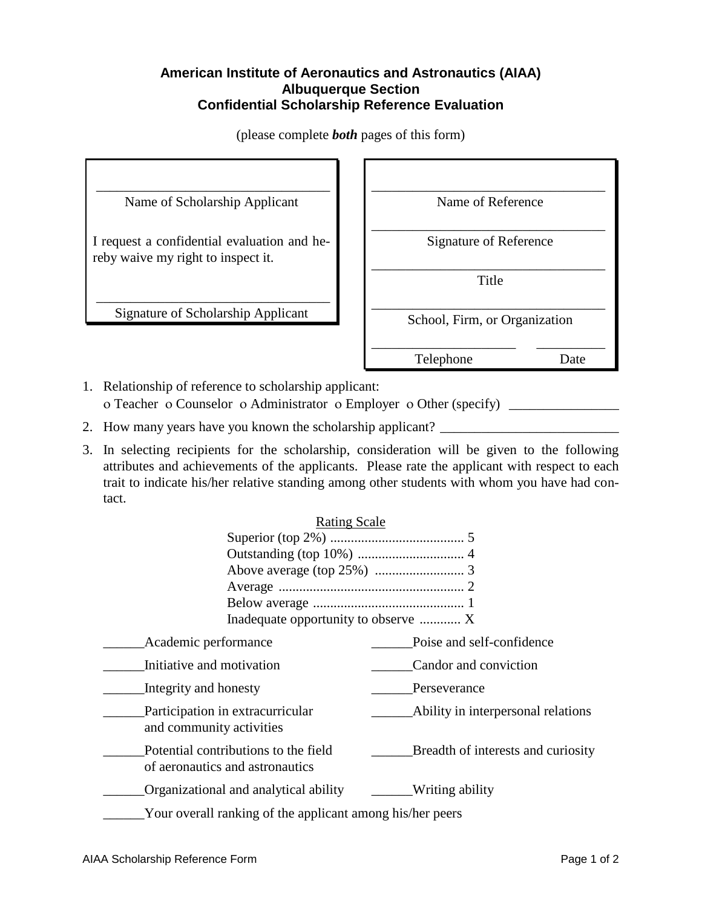## **American Institute of Aeronautics and Astronautics (AIAA) Albuquerque Section Confidential Scholarship Reference Evaluation**

\_\_\_\_\_\_\_\_\_\_\_\_\_\_\_\_\_\_\_\_\_\_\_\_\_\_\_\_\_\_\_\_\_\_ Name of Scholarship Applicant I request a confidential evaluation and hereby waive my right to inspect it. \_\_\_\_\_\_\_\_\_\_\_\_\_\_\_\_\_\_\_\_\_\_\_\_\_\_\_\_\_\_\_\_\_\_ Signature of Scholarship Applicant \_\_\_\_\_\_\_\_\_\_\_\_\_\_\_\_\_\_\_\_\_\_\_\_\_\_\_\_\_\_\_\_\_\_ Name of Reference \_\_\_\_\_\_\_\_\_\_\_\_\_\_\_\_\_\_\_\_\_\_\_\_\_\_\_\_\_\_\_\_\_\_ Signature of Reference \_\_\_\_\_\_\_\_\_\_\_\_\_\_\_\_\_\_\_\_\_\_\_\_\_\_\_\_\_\_\_\_\_\_ Title \_\_\_\_\_\_\_\_\_\_\_\_\_\_\_\_\_\_\_\_\_\_\_\_\_\_\_\_\_\_\_\_\_\_ School, Firm, or Organization \_\_\_\_\_\_\_\_\_\_\_\_\_\_\_\_\_\_\_\_\_ \_\_\_\_\_\_\_\_\_\_ Telephone Date

(please complete *both* pages of this form)

1. Relationship of reference to scholarship applicant: o Teacher o Counselor o Administrator o Employer o Other (specify)

- 2. How many years have you known the scholarship applicant?
- 3. In selecting recipients for the scholarship, consideration will be given to the following attributes and achievements of the applicants. Please rate the applicant with respect to each trait to indicate his/her relative standing among other students with whom you have had contact.

| <b>Rating Scale</b>                                                     |                                    |
|-------------------------------------------------------------------------|------------------------------------|
|                                                                         |                                    |
|                                                                         |                                    |
|                                                                         |                                    |
|                                                                         |                                    |
|                                                                         |                                    |
| Inadequate opportunity to observe  X                                    |                                    |
| Academic performance                                                    | Poise and self-confidence          |
| Initiative and motivation                                               | Candor and conviction              |
| Integrity and honesty                                                   | Perseverance                       |
| Participation in extracurricular<br>and community activities            | Ability in interpersonal relations |
| Potential contributions to the field<br>of aeronautics and astronautics | Breadth of interests and curiosity |
| Organizational and analytical ability                                   | Writing ability                    |
| Your overall ranking of the applicant among his/her peers               |                                    |